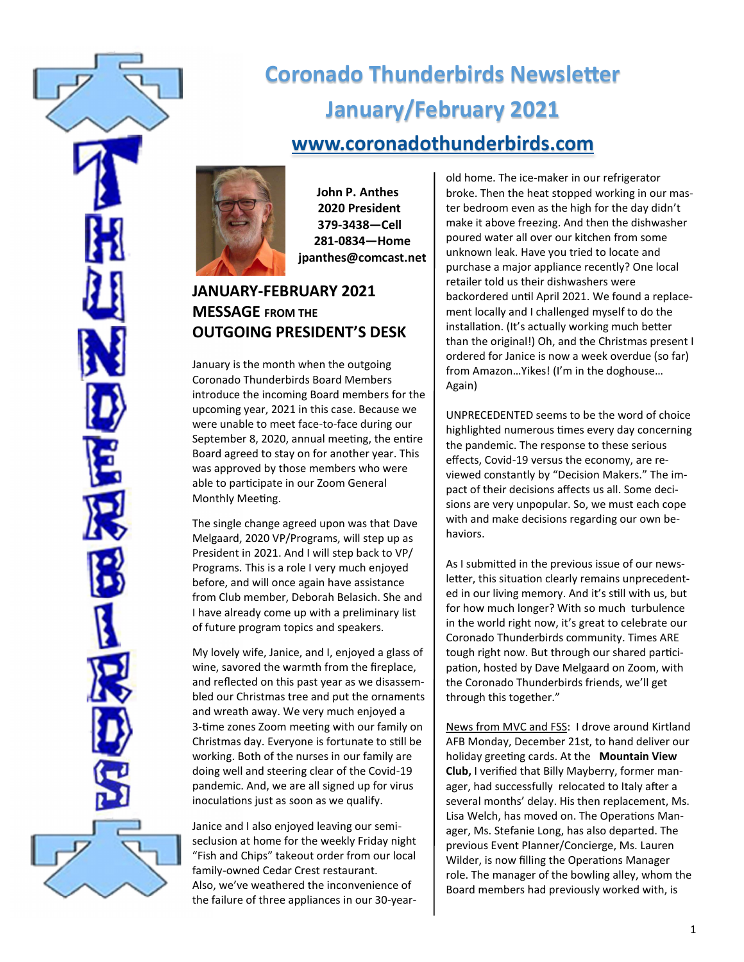

# **Coronado Thunderbirds Newsletter January/February 2021 [www.coronadothunderbirds.com](http://www.coronadothunderbirds.com)**



**John P. Anthes 2020 President 379-3438—Cell 281-0834—Home jpanthes@comcast.net**

# **JANUARY-FEBRUARY 2021 MESSAGE FROM THE OUTGOING PRESIDENT'S DESK**

January is the month when the outgoing Coronado Thunderbirds Board Members introduce the incoming Board members for the upcoming year, 2021 in this case. Because we were unable to meet face-to-face during our September 8, 2020, annual meeting, the entire Board agreed to stay on for another year. This was approved by those members who were able to participate in our Zoom General Monthly Meeting.

The single change agreed upon was that Dave Melgaard, 2020 VP/Programs, will step up as President in 2021. And I will step back to VP/ Programs. This is a role I very much enjoyed before, and will once again have assistance from Club member, Deborah Belasich. She and I have already come up with a preliminary list of future program topics and speakers.

My lovely wife, Janice, and I, enjoyed a glass of wine, savored the warmth from the fireplace, and reflected on this past year as we disassembled our Christmas tree and put the ornaments and wreath away. We very much enjoyed a 3-time zones Zoom meeting with our family on Christmas day. Everyone is fortunate to still be working. Both of the nurses in our family are doing well and steering clear of the Covid-19 pandemic. And, we are all signed up for virus inoculations just as soon as we qualify.

Janice and I also enjoyed leaving our semiseclusion at home for the weekly Friday night "Fish and Chips" takeout order from our local family-owned Cedar Crest restaurant. Also, we've weathered the inconvenience of the failure of three appliances in our 30-yearold home. The ice-maker in our refrigerator broke. Then the heat stopped working in our master bedroom even as the high for the day didn't make it above freezing. And then the dishwasher poured water all over our kitchen from some unknown leak. Have you tried to locate and purchase a major appliance recently? One local retailer told us their dishwashers were backordered until April 2021. We found a replacement locally and I challenged myself to do the installation. (It's actually working much better than the original!) Oh, and the Christmas present I ordered for Janice is now a week overdue (so far) from Amazon…Yikes! (I'm in the doghouse… Again)

UNPRECEDENTED seems to be the word of choice highlighted numerous times every day concerning the pandemic. The response to these serious effects, Covid-19 versus the economy, are reviewed constantly by "Decision Makers." The impact of their decisions affects us all. Some decisions are very unpopular. So, we must each cope with and make decisions regarding our own behaviors.

As I submitted in the previous issue of our newsletter, this situation clearly remains unprecedented in our living memory. And it's still with us, but for how much longer? With so much turbulence in the world right now, it's great to celebrate our Coronado Thunderbirds community. Times ARE tough right now. But through our shared participation, hosted by Dave Melgaard on Zoom, with the Coronado Thunderbirds friends, we'll get through this together."

News from MVC and FSS: I drove around Kirtland AFB Monday, December 21st, to hand deliver our holiday greeting cards. At the **Mountain View Club,** I verified that Billy Mayberry, former manager, had successfully relocated to Italy after a several months' delay. His then replacement, Ms. Lisa Welch, has moved on. The Operations Manager, Ms. Stefanie Long, has also departed. The previous Event Planner/Concierge, Ms. Lauren Wilder, is now filling the Operations Manager role. The manager of the bowling alley, whom the Board members had previously worked with, is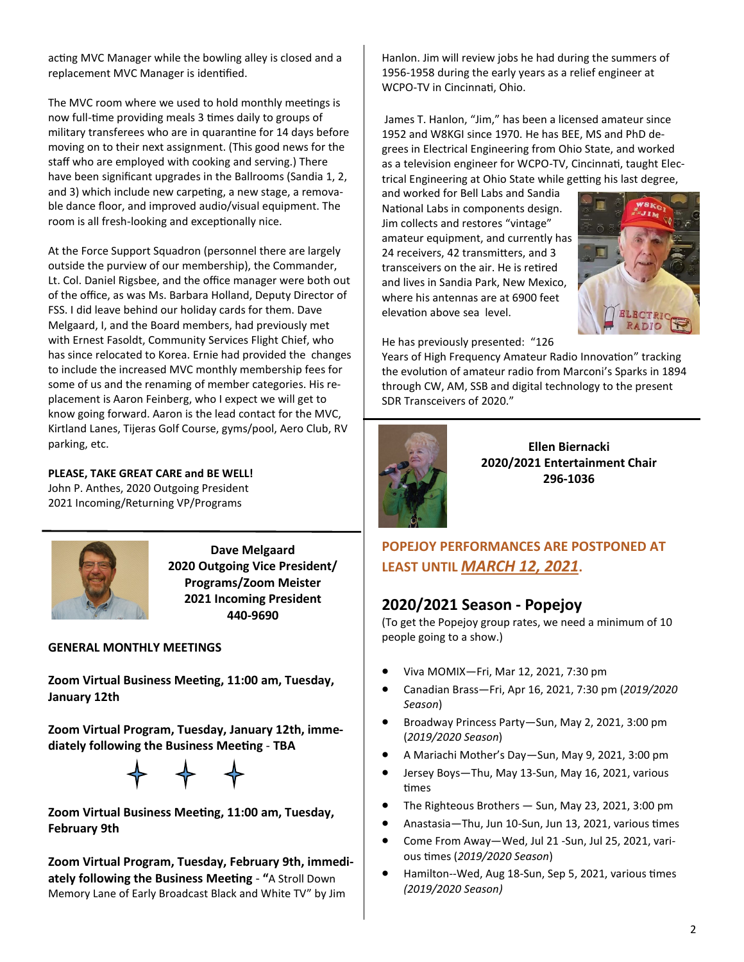acting MVC Manager while the bowling alley is closed and a replacement MVC Manager is identified.

The MVC room where we used to hold monthly meetings is now full-time providing meals 3 times daily to groups of military transferees who are in quarantine for 14 days before moving on to their next assignment. (This good news for the staff who are employed with cooking and serving.) There have been significant upgrades in the Ballrooms (Sandia 1, 2, and 3) which include new carpeting, a new stage, a removable dance floor, and improved audio/visual equipment. The room is all fresh-looking and exceptionally nice.

At the Force Support Squadron (personnel there are largely outside the purview of our membership), the Commander, Lt. Col. Daniel Rigsbee, and the office manager were both out of the office, as was Ms. Barbara Holland, Deputy Director of FSS. I did leave behind our holiday cards for them. Dave Melgaard, I, and the Board members, had previously met with Ernest Fasoldt, Community Services Flight Chief, who has since relocated to Korea. Ernie had provided the changes to include the increased MVC monthly membership fees for some of us and the renaming of member categories. His replacement is Aaron Feinberg, who I expect we will get to know going forward. Aaron is the lead contact for the MVC, Kirtland Lanes, Tijeras Golf Course, gyms/pool, Aero Club, RV parking, etc.

#### **PLEASE, TAKE GREAT CARE and BE WELL!**

John P. Anthes, 2020 Outgoing President 2021 Incoming/Returning VP/Programs



**Dave Melgaard 2020 Outgoing Vice President/ Programs/Zoom Meister 2021 Incoming President 440-9690**

#### **GENERAL MONTHLY MEETINGS**

**Zoom Virtual Business Meeting, 11:00 am, Tuesday, January 12th**

**Zoom Virtual Program, Tuesday, January 12th, immediately following the Business Meeting** - **TBA**



**Zoom Virtual Business Meeting, 11:00 am, Tuesday, February 9th**

**Zoom Virtual Program, Tuesday, February 9th, immediately following the Business Meeting** - **"**A Stroll Down Memory Lane of Early Broadcast Black and White TV" by Jim

Hanlon. Jim will review jobs he had during the summers of 1956-1958 during the early years as a relief engineer at WCPO-TV in Cincinnati, Ohio.

James T. Hanlon, "Jim," has been a licensed amateur since 1952 and W8KGI since 1970. He has BEE, MS and PhD degrees in Electrical Engineering from Ohio State, and worked as a television engineer for WCPO-TV, Cincinnati, taught Electrical Engineering at Ohio State while getting his last degree,

and worked for Bell Labs and Sandia National Labs in components design. Jim collects and restores "vintage" amateur equipment, and currently has 24 receivers, 42 transmitters, and 3 transceivers on the air. He is retired and lives in Sandia Park, New Mexico, where his antennas are at 6900 feet elevation above sea level.



He has previously presented: "126

Years of High Frequency Amateur Radio Innovation" tracking the evolution of amateur radio from Marconi's Sparks in 1894 through CW, AM, SSB and digital technology to the present SDR Transceivers of 2020."



**Ellen Biernacki 2020/2021 Entertainment Chair 296-1036**

## **POPEJOY PERFORMANCES ARE POSTPONED AT LEAST UNTIL** *MARCH 12, 2021***.**

## **2020/2021 Season - Popejoy**

(To get the Popejoy group rates, we need a minimum of 10 people going to a show.)

- Viva MOMIX—Fri, Mar 12, 2021, 7:30 pm
- Canadian Brass—Fri, Apr 16, 2021, 7:30 pm (*2019/2020 Season*)
- Broadway Princess Party—Sun, May 2, 2021, 3:00 pm (*2019/2020 Season*)
- A Mariachi Mother's Day—Sun, May 9, 2021, 3:00 pm
- Jersey Boys—Thu, May 13-Sun, May 16, 2021, various times
- The Righteous Brothers Sun, May 23, 2021, 3:00 pm
- Anastasia—Thu, Jun 10-Sun, Jun 13, 2021, various times
- Come From Away—Wed, Jul 21 -Sun, Jul 25, 2021, various times (*2019/2020 Season*)
- Hamilton--Wed, Aug 18-Sun, Sep 5, 2021, various times *(2019/2020 Season)*